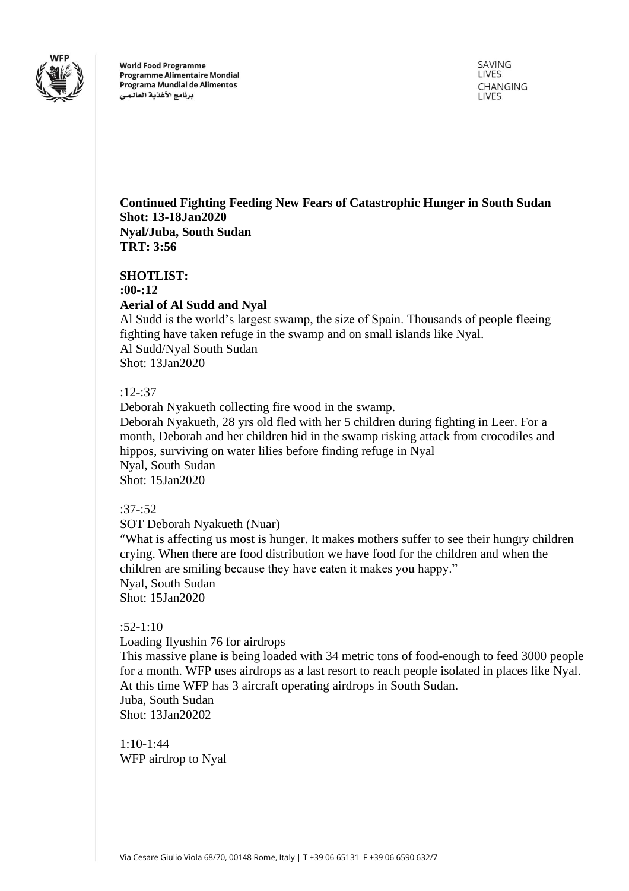

**World Food Programme Programme Alimentaire Mondial** Programa Mundial de Alimentos برنامج الأغذية العالمى

SAVING LIVES **CHANGING LIVES** 

# **Continued Fighting Feeding New Fears of Catastrophic Hunger in South Sudan Shot: 13-18Jan2020 Nyal/Juba, South Sudan TRT: 3:56**

**SHOTLIST: :00-:12 Aerial of Al Sudd and Nyal** Al Sudd is the world's largest swamp, the size of Spain. Thousands of people fleeing

fighting have taken refuge in the swamp and on small islands like Nyal. Al Sudd/Nyal South Sudan Shot: 13Jan2020

## :12-:37

Deborah Nyakueth collecting fire wood in the swamp. Deborah Nyakueth, 28 yrs old fled with her 5 children during fighting in Leer. For a month, Deborah and her children hid in the swamp risking attack from crocodiles and hippos, surviving on water lilies before finding refuge in Nyal Nyal, South Sudan Shot: 15Jan2020

### :37-:52

SOT Deborah Nyakueth (Nuar)

"What is affecting us most is hunger. It makes mothers suffer to see their hungry children crying. When there are food distribution we have food for the children and when the children are smiling because they have eaten it makes you happy." Nyal, South Sudan Shot: 15Jan2020

### :52-1:10

Loading Ilyushin 76 for airdrops

This massive plane is being loaded with 34 metric tons of food-enough to feed 3000 people for a month. WFP uses airdrops as a last resort to reach people isolated in places like Nyal. At this time WFP has 3 aircraft operating airdrops in South Sudan. Juba, South Sudan Shot: 13Jan20202

1:10-1:44 WFP airdrop to Nyal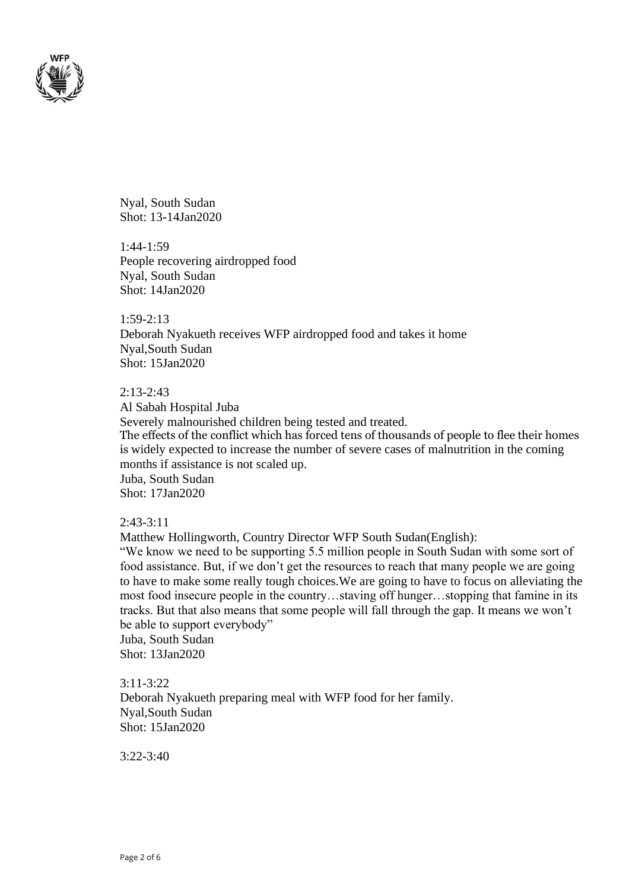

Nyal, South Sudan Shot: 13-14Jan2020

1:44-1:59 People recovering airdropped food Nyal, South Sudan Shot: 14Jan2020

1:59-2:13 Deborah Nyakueth receives WFP airdropped food and takes it home Nyal,South Sudan Shot: 15Jan2020

### 2:13-2:43

Al Sabah Hospital Juba Severely malnourished children being tested and treated. The effects of the conflict which has forced tens of thousands of people to flee their homes is widely expected to increase the number of severe cases of malnutrition in the coming months if assistance is not scaled up. Juba, South Sudan Shot: 17Jan2020

### 2:43-3:11

Matthew Hollingworth, Country Director WFP South Sudan(English):

"We know we need to be supporting 5.5 million people in South Sudan with some sort of food assistance. But, if we don't get the resources to reach that many people we are going to have to make some really tough choices.We are going to have to focus on alleviating the most food insecure people in the country…staving off hunger…stopping that famine in its tracks. But that also means that some people will fall through the gap. It means we won't be able to support everybody"

Juba, South Sudan Shot: 13Jan2020

3:11-3:22 Deborah Nyakueth preparing meal with WFP food for her family. Nyal,South Sudan Shot: 15Jan2020

3:22-3:40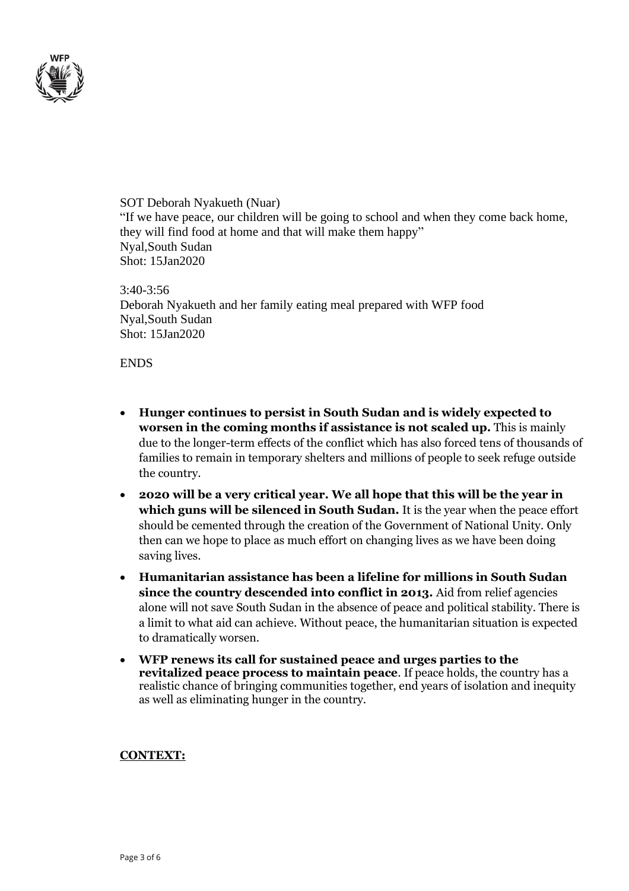

SOT Deborah Nyakueth (Nuar) "If we have peace, our children will be going to school and when they come back home, they will find food at home and that will make them happy" Nyal,South Sudan Shot: 15Jan2020

3:40-3:56 Deborah Nyakueth and her family eating meal prepared with WFP food Nyal,South Sudan Shot: 15Jan2020

### **ENDS**

- **Hunger continues to persist in South Sudan and is widely expected to worsen in the coming months if assistance is not scaled up.** This is mainly due to the longer-term effects of the conflict which has also forced tens of thousands of families to remain in temporary shelters and millions of people to seek refuge outside the country.
- **2020 will be a very critical year. We all hope that this will be the year in which guns will be silenced in South Sudan.** It is the year when the peace effort should be cemented through the creation of the Government of National Unity. Only then can we hope to place as much effort on changing lives as we have been doing saving lives.
- **Humanitarian assistance has been a lifeline for millions in South Sudan since the country descended into conflict in 2013.** Aid from relief agencies alone will not save South Sudan in the absence of peace and political stability. There is a limit to what aid can achieve. Without peace, the humanitarian situation is expected to dramatically worsen.
- **WFP renews its call for sustained peace and urges parties to the revitalized peace process to maintain peace**. If peace holds, the country has a realistic chance of bringing communities together, end years of isolation and inequity as well as eliminating hunger in the country.

#### **CONTEXT:**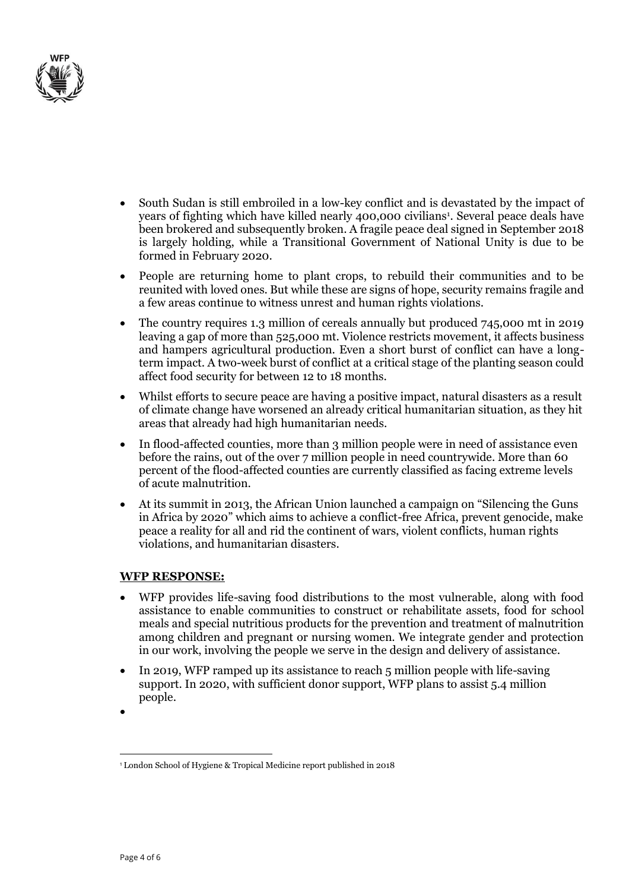

- South Sudan is still embroiled in a low-key conflict and is devastated by the impact of years of fighting which have killed nearly 400,000 civilians<sup>1</sup>. Several peace deals have been brokered and subsequently broken. A fragile peace deal signed in September 2018 is largely holding, while a Transitional Government of National Unity is due to be formed in February 2020.
- People are returning home to plant crops, to rebuild their communities and to be reunited with loved ones. But while these are signs of hope, security remains fragile and a few areas continue to witness unrest and human rights violations.
- The country requires 1.3 million of cereals annually but produced 745,000 mt in 2019 leaving a gap of more than 525,000 mt. Violence restricts movement, it affects business and hampers agricultural production. Even a short burst of conflict can have a longterm impact. A two-week burst of conflict at a critical stage of the planting season could affect food security for between 12 to 18 months.
- Whilst efforts to secure peace are having a positive impact, natural disasters as a result of climate change have worsened an already critical humanitarian situation, as they hit areas that already had high humanitarian needs.
- In flood-affected counties, more than 3 million people were in need of assistance even before the rains, out of the over 7 million people in need countrywide. More than 60 percent of the flood-affected counties are currently classified as facing extreme levels of acute malnutrition.
- At its summit in 2013, the African Union launched a campaign on "Silencing the Guns in Africa by 2020" which aims to achieve a conflict-free Africa, prevent genocide, make peace a reality for all and rid the continent of wars, violent conflicts, human rights violations, and humanitarian disasters.

### **WFP RESPONSE:**

- WFP provides life-saving food distributions to the most vulnerable, along with food assistance to enable communities to construct or rehabilitate assets, food for school meals and special nutritious products for the prevention and treatment of malnutrition among children and pregnant or nursing women. We integrate gender and protection in our work, involving the people we serve in the design and delivery of assistance.
- In 2019, WFP ramped up its assistance to reach 5 million people with life-saving support. In 2020, with sufficient donor support, WFP plans to assist 5.4 million people.
- •

<sup>1</sup> London School of Hygiene & Tropical Medicine report published in 2018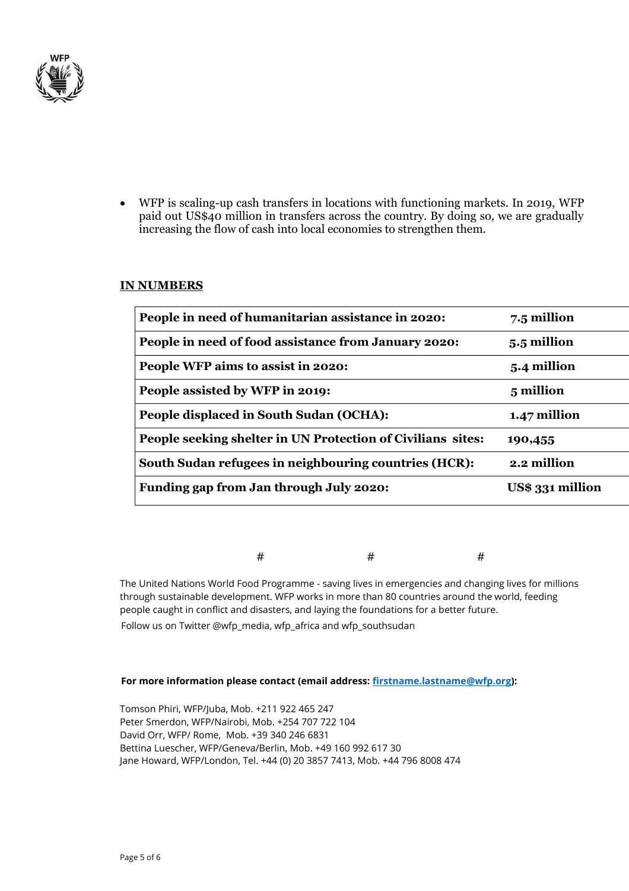

• WFP is scaling-up cash transfers in locations with functioning markets. In 2019, WFP paid out US\$40 million in transfers across the country. By doing so, we are gradually increasing the flow of cash into local economies to strengthen them.

### **IN NUMBERS**

| People in need of humanitarian assistance in 2020:          | 7.5 million      |
|-------------------------------------------------------------|------------------|
| People in need of food assistance from January 2020:        | 5.5 million      |
| People WFP aims to assist in 2020:                          | 5.4 million      |
| People assisted by WFP in 2019:                             | 5 million        |
| People displaced in South Sudan (OCHA):                     | 1.47 million     |
| People seeking shelter in UN Protection of Civilians sites: | 190,455          |
| South Sudan refugees in neighbouring countries (HCR):       | 2.2 million      |
| Funding gap from Jan through July 2020:                     | US\$ 331 million |
|                                                             |                  |

 $\#$   $\#$   $\#$ 

The United Nations World Food Programme - saving lives in emergencies and changing lives for millions through sustainable development. WFP works in more than 80 countries around the world, feeding people caught in conflict and disasters, and laying the foundations for a better future. Follow us on Twitter @wfp\_media, wfp\_africa and wfp\_southsudan

#### **For more information please contact (email address: [firstname.lastname@wfp.org\)](mailto:firstname.lastname@wfp.org):**

Tomson Phiri, WFP/Juba, Mob. +211 922 465 247 Peter Smerdon, WFP/Nairobi, Mob. +254 707 722 104 David Orr, WFP/ Rome, Mob. +39 340 246 6831 Bettina Luescher, WFP/Geneva/Berlin, Mob. +49 160 992 617 30 Jane Howard, WFP/London, Tel. +44 (0) 20 3857 7413, Mob. +44 796 8008 474